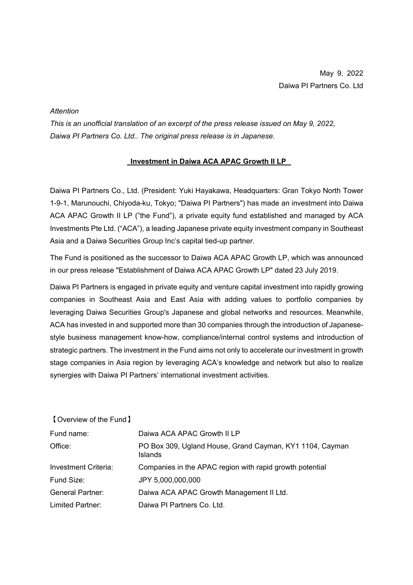## *Attention*

*This is an unofficial translation of an excerpt of the press release issued on May 9, 2022, Daiwa PI Partners Co. Ltd.. The original press release is in Japanese.*

## **Investment in Daiwa ACA APAC Growth II LP**

Daiwa PI Partners Co., Ltd. (President: Yuki Hayakawa, Headquarters: Gran Tokyo North Tower 1-9-1, Marunouchi, Chiyoda-ku, Tokyo; "Daiwa PI Partners") has made an investment into Daiwa ACA APAC Growth II LP ("the Fund"), a private equity fund established and managed by ACA Investments Pte Ltd. ("ACA"), a leading Japanese private equity investment company in Southeast Asia and a Daiwa Securities Group Inc's capital tied-up partner.

The Fund is positioned as the successor to Daiwa ACA APAC Growth LP, which was announced in our press release "Establishment of Daiwa ACA APAC Growth LP" dated 23 July 2019.

Daiwa PI Partners is engaged in private equity and venture capital investment into rapidly growing companies in Southeast Asia and East Asia with adding values to portfolio companies by leveraging Daiwa Securities Group's Japanese and global networks and resources. Meanwhile, ACA has invested in and supported more than 30 companies through the introduction of Japanesestyle business management know-how, compliance/internal control systems and introduction of strategic partners. The investment in the Fund aims not only to accelerate our investment in growth stage companies in Asia region by leveraging ACA's knowledge and network but also to realize synergies with Daiwa PI Partners' international investment activities.

【Overview of the Fund】

| Fund name:              | Daiwa ACA APAC Growth II LP                                                |
|-------------------------|----------------------------------------------------------------------------|
| Office:                 | PO Box 309, Ugland House, Grand Cayman, KY1 1104, Cayman<br><b>Islands</b> |
| Investment Criteria:    | Companies in the APAC region with rapid growth potential                   |
| Fund Size:              | JPY 5,000,000,000                                                          |
| <b>General Partner:</b> | Daiwa ACA APAC Growth Management II Ltd.                                   |
| Limited Partner:        | Daiwa PI Partners Co. Ltd.                                                 |